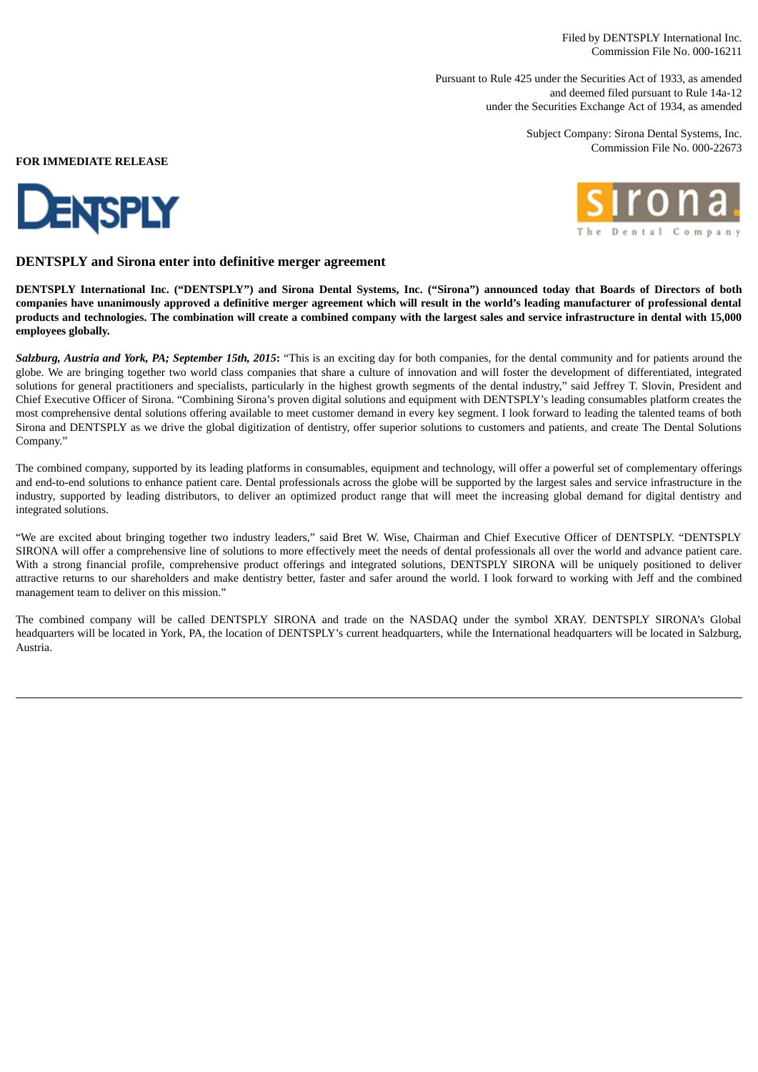Filed by DENTSPLY International Inc. Commission File No. 000-16211

Pursuant to Rule 425 under the Securities Act of 1933, as amended and deemed filed pursuant to Rule 14a-12 under the Securities Exchange Act of 1934, as amended

> Subject Company: Sirona Dental Systems, Inc. Commission File No. 000-22673

**FOR IMMEDIATE RELEASE**





# **DENTSPLY and Sirona enter into definitive merger agreement**

DENTSPLY International Inc. ("DENTSPLY") and Sirona Dental Systems. Inc. ("Sirona") announced today that Boards of Directors of both companies have unanimously approved a definitive merger agreement which will result in the world's leading manufacturer of professional dental products and technologies. The combination will create a combined company with the largest sales and service infrastructure in dental with 15,000 **employees globally.**

*Salzburg, Austria and York, PA; September 15th, 2015***:** "This is an exciting day for both companies, for the dental community and for patients around the globe. We are bringing together two world class companies that share a culture of innovation and will foster the development of differentiated, integrated solutions for general practitioners and specialists, particularly in the highest growth segments of the dental industry," said Jeffrey T. Slovin, President and Chief Executive Officer of Sirona. "Combining Sirona's proven digital solutions and equipment with DENTSPLY's leading consumables platform creates the most comprehensive dental solutions offering available to meet customer demand in every key segment. I look forward to leading the talented teams of both Sirona and DENTSPLY as we drive the global digitization of dentistry, offer superior solutions to customers and patients, and create The Dental Solutions Company."

The combined company, supported by its leading platforms in consumables, equipment and technology, will offer a powerful set of complementary offerings and end-to-end solutions to enhance patient care. Dental professionals across the globe will be supported by the largest sales and service infrastructure in the industry, supported by leading distributors, to deliver an optimized product range that will meet the increasing global demand for digital dentistry and integrated solutions.

"We are excited about bringing together two industry leaders," said Bret W. Wise, Chairman and Chief Executive Officer of DENTSPLY. "DENTSPLY SIRONA will offer a comprehensive line of solutions to more effectively meet the needs of dental professionals all over the world and advance patient care. With a strong financial profile, comprehensive product offerings and integrated solutions, DENTSPLY SIRONA will be uniquely positioned to deliver attractive returns to our shareholders and make dentistry better, faster and safer around the world. I look forward to working with Jeff and the combined management team to deliver on this mission."

The combined company will be called DENTSPLY SIRONA and trade on the NASDAQ under the symbol XRAY. DENTSPLY SIRONA's Global headquarters will be located in York, PA, the location of DENTSPLY's current headquarters, while the International headquarters will be located in Salzburg, Austria.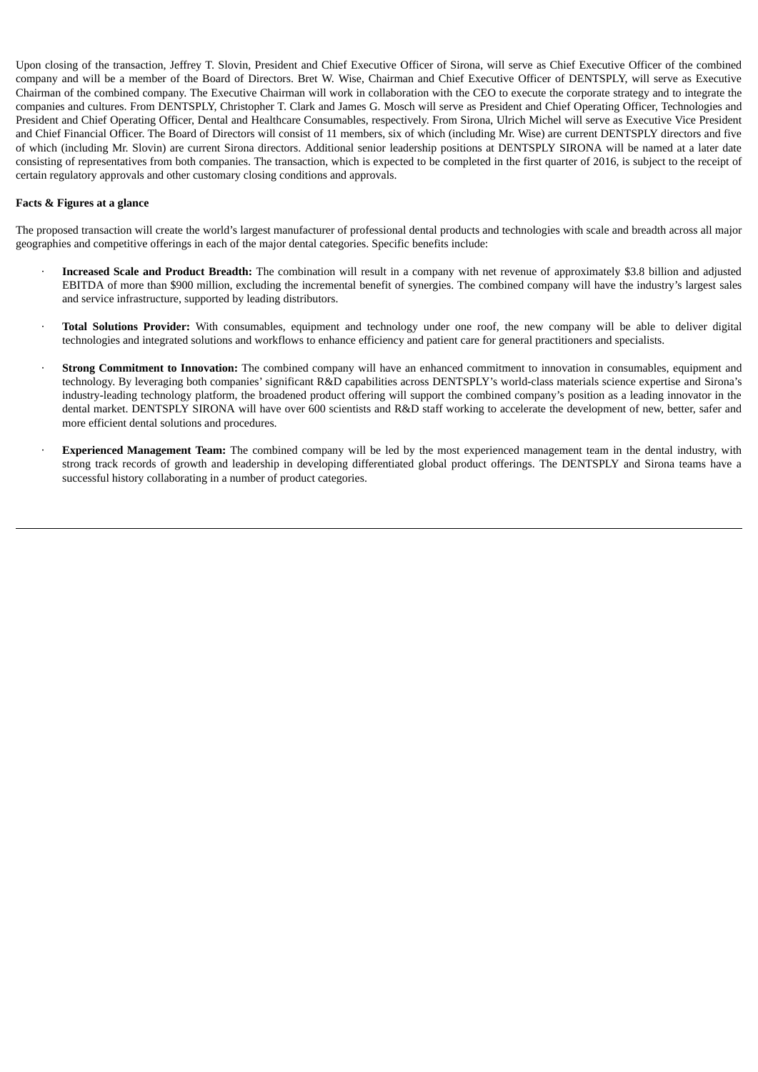Upon closing of the transaction, Jeffrey T. Slovin, President and Chief Executive Officer of Sirona, will serve as Chief Executive Officer of the combined company and will be a member of the Board of Directors. Bret W. Wise, Chairman and Chief Executive Officer of DENTSPLY, will serve as Executive Chairman of the combined company. The Executive Chairman will work in collaboration with the CEO to execute the corporate strategy and to integrate the companies and cultures. From DENTSPLY, Christopher T. Clark and James G. Mosch will serve as President and Chief Operating Officer, Technologies and President and Chief Operating Officer, Dental and Healthcare Consumables, respectively. From Sirona, Ulrich Michel will serve as Executive Vice President and Chief Financial Officer. The Board of Directors will consist of 11 members, six of which (including Mr. Wise) are current DENTSPLY directors and five of which (including Mr. Slovin) are current Sirona directors. Additional senior leadership positions at DENTSPLY SIRONA will be named at a later date consisting of representatives from both companies. The transaction, which is expected to be completed in the first quarter of 2016, is subject to the receipt of certain regulatory approvals and other customary closing conditions and approvals.

### **Facts & Figures at a glance**

The proposed transaction will create the world's largest manufacturer of professional dental products and technologies with scale and breadth across all major geographies and competitive offerings in each of the major dental categories. Specific benefits include:

- · **Increased Scale and Product Breadth:** The combination will result in a company with net revenue of approximately \$3.8 billion and adjusted EBITDA of more than \$900 million, excluding the incremental benefit of synergies. The combined company will have the industry's largest sales and service infrastructure, supported by leading distributors.
- · **Total Solutions Provider:** With consumables, equipment and technology under one roof, the new company will be able to deliver digital technologies and integrated solutions and workflows to enhance efficiency and patient care for general practitioners and specialists.
- · **Strong Commitment to Innovation:** The combined company will have an enhanced commitment to innovation in consumables, equipment and technology. By leveraging both companies' significant R&D capabilities across DENTSPLY's world-class materials science expertise and Sirona's industry-leading technology platform, the broadened product offering will support the combined company's position as a leading innovator in the dental market. DENTSPLY SIRONA will have over 600 scientists and R&D staff working to accelerate the development of new, better, safer and more efficient dental solutions and procedures.
- **Experienced Management Team:** The combined company will be led by the most experienced management team in the dental industry, with strong track records of growth and leadership in developing differentiated global product offerings. The DENTSPLY and Sirona teams have a successful history collaborating in a number of product categories.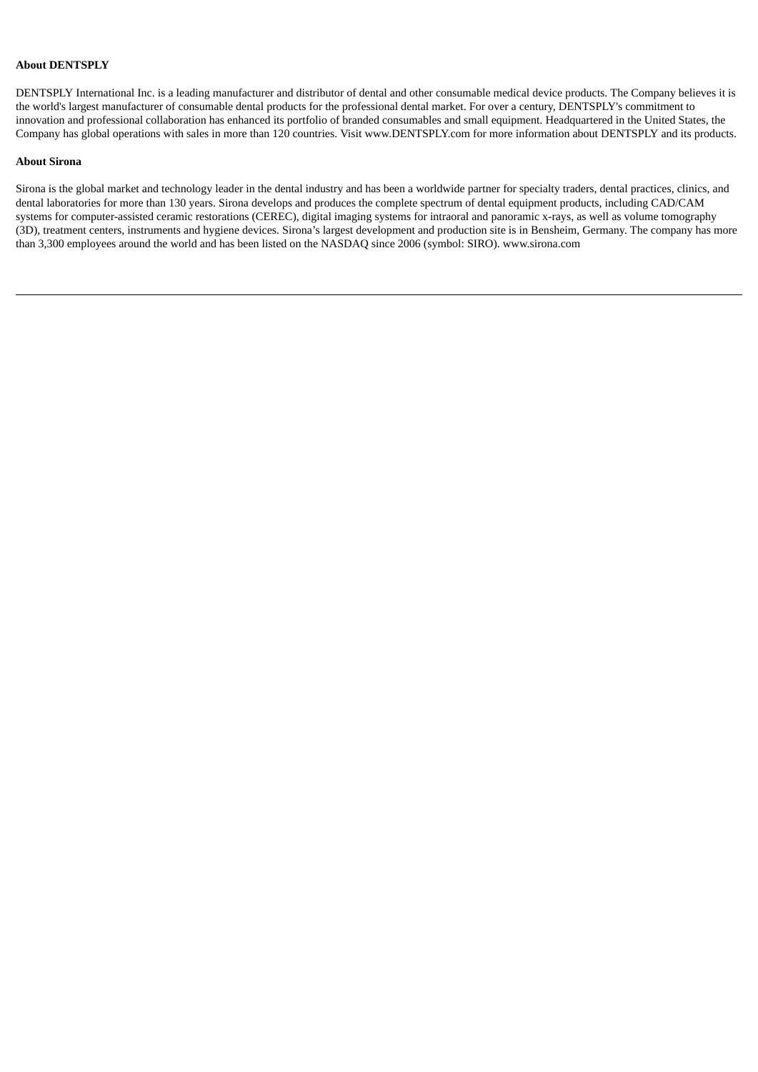# **About DENTSPLY**

DENTSPLY International Inc. is a leading manufacturer and distributor of dental and other consumable medical device products. The Company believes it is the world's largest manufacturer of consumable dental products for the professional dental market. For over a century, DENTSPLY's commitment to innovation and professional collaboration has enhanced its portfolio of branded consumables and small equipment. Headquartered in the United States, the Company has global operations with sales in more than 120 countries. Visit www.DENTSPLY.com for more information about DENTSPLY and its products.

## **About Sirona**

Sirona is the global market and technology leader in the dental industry and has been a worldwide partner for specialty traders, dental practices, clinics, and dental laboratories for more than 130 years. Sirona develops and produces the complete spectrum of dental equipment products, including CAD/CAM systems for computer-assisted ceramic restorations (CEREC), digital imaging systems for intraoral and panoramic x-rays, as well as volume tomography (3D), treatment centers, instruments and hygiene devices. Sirona's largest development and production site is in Bensheim, Germany. The company has more than 3,300 employees around the world and has been listed on the NASDAQ since 2006 (symbol: SIRO). www.sirona.com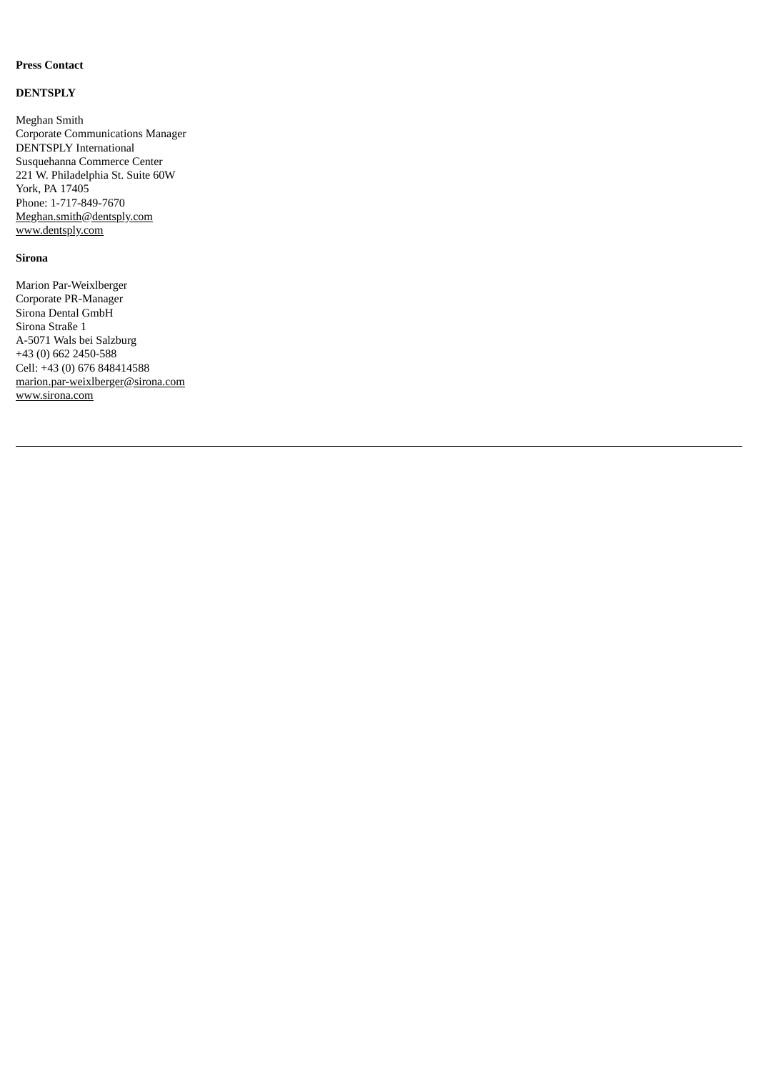# **Press Contact**

### **DENTSPLY**

Meghan Smith Corporate Communications Manager DENTSPLY International Susquehanna Commerce Center 221 W. Philadelphia St. Suite 60W York, PA 17405 Phone: 1-717-849-7670 Meghan.smith@dentsply.com www.dentsply.com

# **Sirona**

Marion Par-Weixlberger Corporate PR-Manager Sirona Dental GmbH Sirona Straße 1 A-5071 Wals bei Salzburg +43 (0) 662 2450-588 Cell: +43 (0) 676 848414588 marion.par-weixlberger@sirona.com www.sirona.com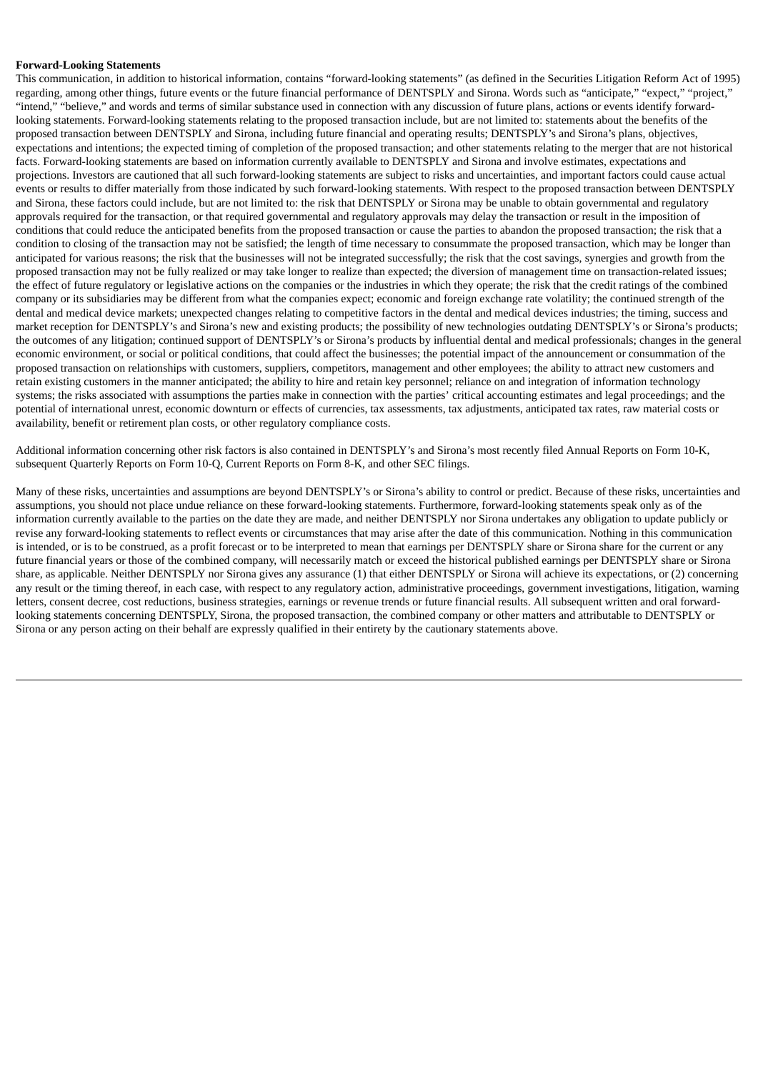### **Forward-Looking Statements**

This communication, in addition to historical information, contains "forward-looking statements" (as defined in the Securities Litigation Reform Act of 1995) regarding, among other things, future events or the future financial performance of DENTSPLY and Sirona. Words such as "anticipate," "expect," "project," "intend," "believe," and words and terms of similar substance used in connection with any discussion of future plans, actions or events identify forwardlooking statements. Forward-looking statements relating to the proposed transaction include, but are not limited to: statements about the benefits of the proposed transaction between DENTSPLY and Sirona, including future financial and operating results; DENTSPLY's and Sirona's plans, objectives, expectations and intentions; the expected timing of completion of the proposed transaction; and other statements relating to the merger that are not historical facts. Forward-looking statements are based on information currently available to DENTSPLY and Sirona and involve estimates, expectations and projections. Investors are cautioned that all such forward-looking statements are subject to risks and uncertainties, and important factors could cause actual events or results to differ materially from those indicated by such forward-looking statements. With respect to the proposed transaction between DENTSPLY and Sirona, these factors could include, but are not limited to: the risk that DENTSPLY or Sirona may be unable to obtain governmental and regulatory approvals required for the transaction, or that required governmental and regulatory approvals may delay the transaction or result in the imposition of conditions that could reduce the anticipated benefits from the proposed transaction or cause the parties to abandon the proposed transaction; the risk that a condition to closing of the transaction may not be satisfied; the length of time necessary to consummate the proposed transaction, which may be longer than anticipated for various reasons; the risk that the businesses will not be integrated successfully; the risk that the cost savings, synergies and growth from the proposed transaction may not be fully realized or may take longer to realize than expected; the diversion of management time on transaction-related issues; the effect of future regulatory or legislative actions on the companies or the industries in which they operate; the risk that the credit ratings of the combined company or its subsidiaries may be different from what the companies expect; economic and foreign exchange rate volatility; the continued strength of the dental and medical device markets; unexpected changes relating to competitive factors in the dental and medical devices industries; the timing, success and market reception for DENTSPLY's and Sirona's new and existing products; the possibility of new technologies outdating DENTSPLY's or Sirona's products; the outcomes of any litigation; continued support of DENTSPLY's or Sirona's products by influential dental and medical professionals; changes in the general economic environment, or social or political conditions, that could affect the businesses; the potential impact of the announcement or consummation of the proposed transaction on relationships with customers, suppliers, competitors, management and other employees; the ability to attract new customers and retain existing customers in the manner anticipated; the ability to hire and retain key personnel; reliance on and integration of information technology systems; the risks associated with assumptions the parties make in connection with the parties' critical accounting estimates and legal proceedings; and the potential of international unrest, economic downturn or effects of currencies, tax assessments, tax adjustments, anticipated tax rates, raw material costs or availability, benefit or retirement plan costs, or other regulatory compliance costs.

Additional information concerning other risk factors is also contained in DENTSPLY's and Sirona's most recently filed Annual Reports on Form 10-K, subsequent Quarterly Reports on Form 10-Q, Current Reports on Form 8-K, and other SEC filings.

Many of these risks, uncertainties and assumptions are beyond DENTSPLY's or Sirona's ability to control or predict. Because of these risks, uncertainties and assumptions, you should not place undue reliance on these forward-looking statements. Furthermore, forward-looking statements speak only as of the information currently available to the parties on the date they are made, and neither DENTSPLY nor Sirona undertakes any obligation to update publicly or revise any forward-looking statements to reflect events or circumstances that may arise after the date of this communication. Nothing in this communication is intended, or is to be construed, as a profit forecast or to be interpreted to mean that earnings per DENTSPLY share or Sirona share for the current or any future financial years or those of the combined company, will necessarily match or exceed the historical published earnings per DENTSPLY share or Sirona share, as applicable. Neither DENTSPLY nor Sirona gives any assurance (1) that either DENTSPLY or Sirona will achieve its expectations, or (2) concerning any result or the timing thereof, in each case, with respect to any regulatory action, administrative proceedings, government investigations, litigation, warning letters, consent decree, cost reductions, business strategies, earnings or revenue trends or future financial results. All subsequent written and oral forwardlooking statements concerning DENTSPLY, Sirona, the proposed transaction, the combined company or other matters and attributable to DENTSPLY or Sirona or any person acting on their behalf are expressly qualified in their entirety by the cautionary statements above.